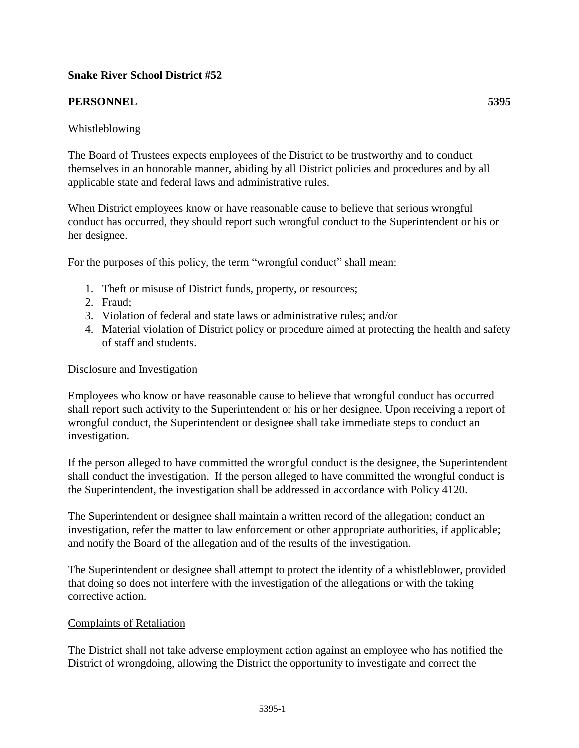# **Snake River School District #52**

# **PERSONNEL 5395**

## Whistleblowing

The Board of Trustees expects employees of the District to be trustworthy and to conduct themselves in an honorable manner, abiding by all District policies and procedures and by all applicable state and federal laws and administrative rules.

When District employees know or have reasonable cause to believe that serious wrongful conduct has occurred, they should report such wrongful conduct to the Superintendent or his or her designee.

For the purposes of this policy, the term "wrongful conduct" shall mean:

- 1. Theft or misuse of District funds, property, or resources;
- 2. Fraud;
- 3. Violation of federal and state laws or administrative rules; and/or
- 4. Material violation of District policy or procedure aimed at protecting the health and safety of staff and students.

## Disclosure and Investigation

Employees who know or have reasonable cause to believe that wrongful conduct has occurred shall report such activity to the Superintendent or his or her designee. Upon receiving a report of wrongful conduct, the Superintendent or designee shall take immediate steps to conduct an investigation.

If the person alleged to have committed the wrongful conduct is the designee, the Superintendent shall conduct the investigation. If the person alleged to have committed the wrongful conduct is the Superintendent, the investigation shall be addressed in accordance with Policy 4120.

The Superintendent or designee shall maintain a written record of the allegation; conduct an investigation, refer the matter to law enforcement or other appropriate authorities, if applicable; and notify the Board of the allegation and of the results of the investigation.

The Superintendent or designee shall attempt to protect the identity of a whistleblower, provided that doing so does not interfere with the investigation of the allegations or with the taking corrective action.

## Complaints of Retaliation

The District shall not take adverse employment action against an employee who has notified the District of wrongdoing, allowing the District the opportunity to investigate and correct the